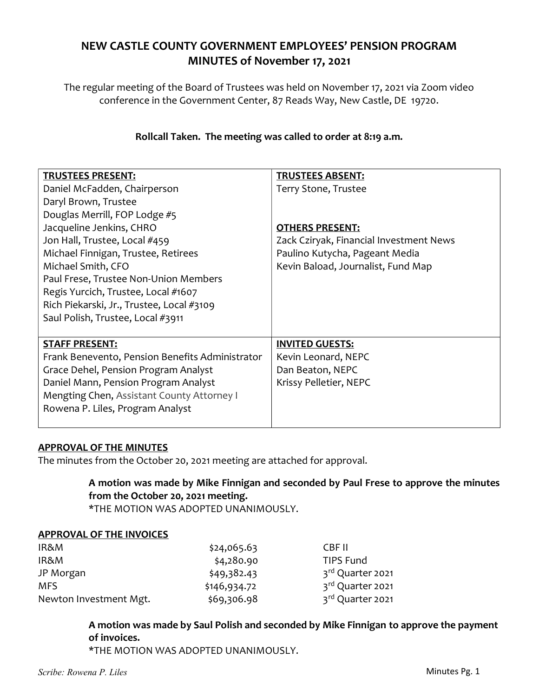# NEW CASTLE COUNTY GOVERNMENT EMPLOYEES' PENSION PROGRAM MINUTES of November 17, 2021

The regular meeting of the Board of Trustees was held on November 17, 2021 via Zoom video conference in the Government Center, 87 Reads Way, New Castle, DE 19720.

## Rollcall Taken. The meeting was called to order at 8:19 a.m.

| <b>TRUSTEES PRESENT:</b>                        | <b>TRUSTEES ABSENT:</b>                 |
|-------------------------------------------------|-----------------------------------------|
| Daniel McFadden, Chairperson                    | Terry Stone, Trustee                    |
| Daryl Brown, Trustee                            |                                         |
| Douglas Merrill, FOP Lodge #5                   |                                         |
| Jacqueline Jenkins, CHRO                        | <b>OTHERS PRESENT:</b>                  |
| Jon Hall, Trustee, Local #459                   | Zack Cziryak, Financial Investment News |
| Michael Finnigan, Trustee, Retirees             | Paulino Kutycha, Pageant Media          |
| Michael Smith, CFO                              | Kevin Baload, Journalist, Fund Map      |
| Paul Frese, Trustee Non-Union Members           |                                         |
| Regis Yurcich, Trustee, Local #1607             |                                         |
| Rich Piekarski, Jr., Trustee, Local #3109       |                                         |
| Saul Polish, Trustee, Local #3911               |                                         |
|                                                 |                                         |
| <b>STAFF PRESENT:</b>                           | <b>INVITED GUESTS:</b>                  |
| Frank Benevento, Pension Benefits Administrator | Kevin Leonard, NEPC                     |
| Grace Dehel, Pension Program Analyst            | Dan Beaton, NEPC                        |
| Daniel Mann, Pension Program Analyst            | Krissy Pelletier, NEPC                  |
| Mengting Chen, Assistant County Attorney I      |                                         |
| Rowena P. Liles, Program Analyst                |                                         |
|                                                 |                                         |

#### APPROVAL OF THE MINUTES

The minutes from the October 20, 2021 meeting are attached for approval.

## A motion was made by Mike Finnigan and seconded by Paul Frese to approve the minutes from the October 20, 2021 meeting.

\*THE MOTION WAS ADOPTED UNANIMOUSLY.

#### APPROVAL OF THE INVOICES

| IR&M                   | \$24,065.63  | CBF II           |
|------------------------|--------------|------------------|
| IR&M                   | \$4,280.90   | TIPS Fund        |
| JP Morgan              | \$49,382.43  | 3rd Quarter 2021 |
| <b>MFS</b>             | \$146,934.72 | 3rd Quarter 2021 |
| Newton Investment Mgt. | \$69,306.98  | 3rd Quarter 2021 |

## A motion was made by Saul Polish and seconded by Mike Finnigan to approve the payment of invoices.

\*THE MOTION WAS ADOPTED UNANIMOUSLY.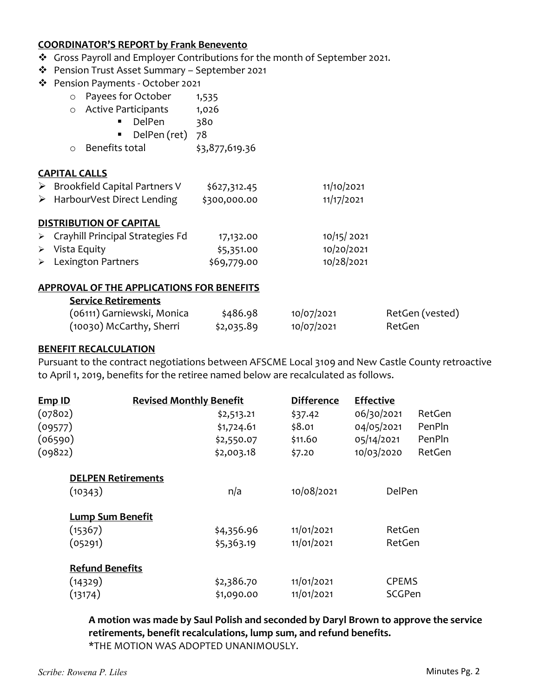#### COORDINATOR'S REPORT by Frank Benevento

- \* Gross Payroll and Employer Contributions for the month of September 2021.
- Pension Trust Asset Summary September 2021
- Pension Payments October 2021
	- o Payees for October 1,535
	- o Active Participants 1,026
		- DelPen 380
		- DelPen (ret) 78
	- o Benefits total \$3,877,619.36

#### CAPITAL CALLS

▶ Brookfield Capital Partners V \$627,312.45 11/10/2021 > HarbourVest Direct Lending \$300,000.00 11/17/2021

#### DISTRIBUTION OF CAPITAL

| $\triangleright$ Crayhill Principal Strategies Fd | 17,132.00   | 10/15/2021 |
|---------------------------------------------------|-------------|------------|
| $\triangleright$ Vista Equity                     | \$5,351.00  | 10/20/2021 |
| $\triangleright$ Lexington Partners               | \$69,779.00 | 10/28/2021 |

#### APPROVAL OF THE APPLICATIONS FOR BENEFITS

#### Service Retirements

| (06111) Garniewski, Monica | \$486.98   | 10/07/2021 | RetGen (vested) |
|----------------------------|------------|------------|-----------------|
| (10030) McCarthy, Sherri   | \$2,035.89 | 10/07/2021 | RetGen          |

#### BENEFIT RECALCULATION

Pursuant to the contract negotiations between AFSCME Local 3109 and New Castle County retroactive to April 1, 2019, benefits for the retiree named below are recalculated as follows.

| <b>Emp ID</b>          | <b>Revised Monthly Benefit</b> | <b>Difference</b> | <b>Effective</b> |        |
|------------------------|--------------------------------|-------------------|------------------|--------|
| (07802)                | \$2,513.21                     | \$37.42           | 06/30/2021       | RetGen |
| (09577)                | \$1,724.61                     | \$8.01            | 04/05/2021       | PenPln |
| (06590)                | \$2,550.07                     | \$11.60           | 05/14/2021       | PenPln |
| (09822)                | \$2,003.18                     | \$7.20            | 10/03/2020       | RetGen |
|                        | <b>DELPEN Retirements</b>      |                   |                  |        |
| (10343)                | n/a                            | 10/08/2021        | DelPen           |        |
|                        | <b>Lump Sum Benefit</b>        |                   |                  |        |
| (15367)                | \$4,356.96                     | 11/01/2021        | RetGen           |        |
| (05291)                | \$5,363.19                     | 11/01/2021        | RetGen           |        |
| <b>Refund Benefits</b> |                                |                   |                  |        |
| (14329)                | \$2,386.70                     | 11/01/2021        | <b>CPEMS</b>     |        |
| (13174)                | \$1,090.00                     | 11/01/2021        | SCGPen           |        |

A motion was made by Saul Polish and seconded by Daryl Brown to approve the service retirements, benefit recalculations, lump sum, and refund benefits. \*THE MOTION WAS ADOPTED UNANIMOUSLY.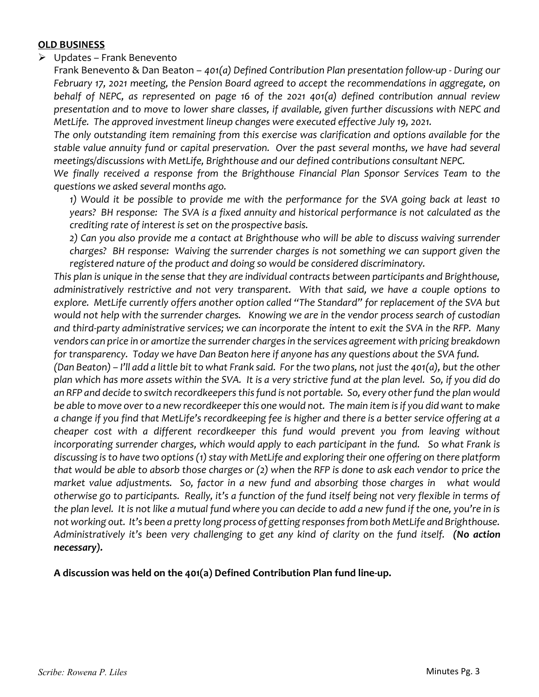## OLD BUSINESS

## $\triangleright$  Updates – Frank Benevento

Frank Benevento & Dan Beaton – 401(a) Defined Contribution Plan presentation follow-up - During our February 17, 2021 meeting, the Pension Board agreed to accept the recommendations in aggregate, on behalf of NEPC, as represented on page 16 of the 2021 401(a) defined contribution annual review presentation and to move to lower share classes, if available, given further discussions with NEPC and MetLife. The approved investment lineup changes were executed effective July 19, 2021.

The only outstanding item remaining from this exercise was clarification and options available for the stable value annuity fund or capital preservation. Over the past several months, we have had several meetings/discussions with MetLife, Brighthouse and our defined contributions consultant NEPC.

We finally received a response from the Brighthouse Financial Plan Sponsor Services Team to the questions we asked several months ago.

1) Would it be possible to provide me with the performance for the SVA going back at least 10 years? BH response: The SVA is a fixed annuity and historical performance is not calculated as the crediting rate of interest is set on the prospective basis.

2) Can you also provide me a contact at Brighthouse who will be able to discuss waiving surrender charges? BH response: Waiving the surrender charges is not something we can support given the registered nature of the product and doing so would be considered discriminatory.

This plan is unique in the sense that they are individual contracts between participants and Brighthouse, administratively restrictive and not very transparent. With that said, we have a couple options to explore. MetLife currently offers another option called "The Standard" for replacement of the SVA but would not help with the surrender charges. Knowing we are in the vendor process search of custodian and third-party administrative services; we can incorporate the intent to exit the SVA in the RFP. Many vendors can price in or amortize the surrender charges in the services agreement with pricing breakdown for transparency. Today we have Dan Beaton here if anyone has any questions about the SVA fund.

(Dan Beaton) – I'll add a little bit to what Frank said. For the two plans, not just the 401(a), but the other plan which has more assets within the SVA. It is a very strictive fund at the plan level. So, if you did do an RFP and decide to switch recordkeepers this fund is not portable. So, every other fund the plan would be able to move over to a new recordkeeper this one would not. The main item is if you did want to make a change if you find that MetLife's recordkeeping fee is higher and there is a better service offering at a cheaper cost with a different recordkeeper this fund would prevent you from leaving without incorporating surrender charges, which would apply to each participant in the fund. So what Frank is discussing is to have two options (1) stay with MetLife and exploring their one offering on there platform that would be able to absorb those charges or (2) when the RFP is done to ask each vendor to price the market value adjustments. So, factor in a new fund and absorbing those charges in what would otherwise go to participants. Really, it's a function of the fund itself being not very flexible in terms of the plan level. It is not like a mutual fund where you can decide to add a new fund if the one, you're in is not working out. It's been a pretty long process of getting responses from both MetLife and Brighthouse. Administratively it's been very challenging to get any kind of clarity on the fund itself. (No action necessary).

A discussion was held on the 401(a) Defined Contribution Plan fund line-up.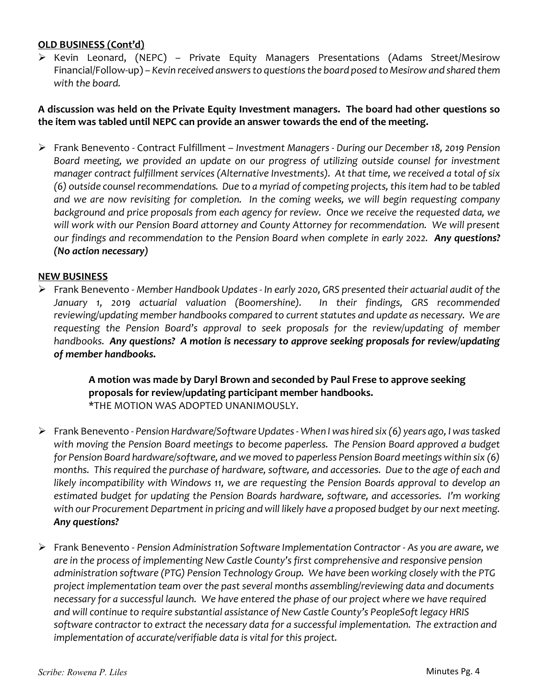## OLD BUSINESS (Cont'd)

 Kevin Leonard, (NEPC) – Private Equity Managers Presentations (Adams Street/Mesirow Financial/Follow-up) – Kevin received answers to questions the board posed to Mesirow and shared them with the board.

## A discussion was held on the Private Equity Investment managers. The board had other questions so the item was tabled until NEPC can provide an answer towards the end of the meeting.

 Frank Benevento - Contract Fulfillment – Investment Managers - During our December 18, 2019 Pension Board meeting, we provided an update on our progress of utilizing outside counsel for investment manager contract fulfillment services (Alternative Investments). At that time, we received a total of six (6) outside counsel recommendations. Due to a myriad of competing projects, this item had to be tabled and we are now revisiting for completion. In the coming weeks, we will begin requesting company background and price proposals from each agency for review. Once we receive the requested data, we will work with our Pension Board attorney and County Attorney for recommendation. We will present our findings and recommendation to the Pension Board when complete in early 2022. Any questions? (No action necessary)

#### NEW BUSINESS

 Frank Benevento - Member Handbook Updates - In early 2020, GRS presented their actuarial audit of the January 1, 2019 actuarial valuation (Boomershine). In their findings, GRS recommended reviewing/updating member handbooks compared to current statutes and update as necessary. We are requesting the Pension Board's approval to seek proposals for the review/updating of member handbooks. Any questions? A motion is necessary to approve seeking proposals for review/updating of member handbooks.

> A motion was made by Daryl Brown and seconded by Paul Frese to approve seeking proposals for review/updating participant member handbooks. \*THE MOTION WAS ADOPTED UNANIMOUSLY.

- Frank Benevento Pension Hardware/Software Updates When I was hired six (6) years ago, I was tasked with moving the Pension Board meetings to become paperless. The Pension Board approved a budget for Pension Board hardware/software, and we moved to paperless Pension Board meetings within six (6) months. This required the purchase of hardware, software, and accessories. Due to the age of each and likely incompatibility with Windows 11, we are requesting the Pension Boards approval to develop an estimated budget for updating the Pension Boards hardware, software, and accessories. I'm working with our Procurement Department in pricing and will likely have a proposed budget by our next meeting. Any questions?
- $\triangleright$  Frank Benevento Pension Administration Software Implementation Contractor As you are aware, we are in the process of implementing New Castle County's first comprehensive and responsive pension administration software (PTG) Pension Technology Group. We have been working closely with the PTG project implementation team over the past several months assembling/reviewing data and documents necessary for a successful launch. We have entered the phase of our project where we have required and will continue to require substantial assistance of New Castle County's PeopleSoft legacy HRIS software contractor to extract the necessary data for a successful implementation. The extraction and implementation of accurate/verifiable data is vital for this project.